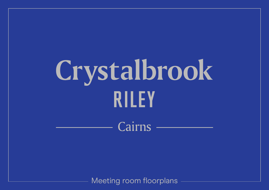# Crystalbrook **RILEY** — Cairns —

Meeting room floorplans

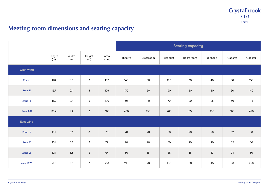## **Meeting room dimensions and seating capacity**

|                   |               |              |                |               | <b>Seating capacity</b> |           |         |           |         |         |          |
|-------------------|---------------|--------------|----------------|---------------|-------------------------|-----------|---------|-----------|---------|---------|----------|
|                   | Length<br>(m) | Width<br>(m) | Height<br>(m)  | Area<br>(sqm) | Theatre                 | Classroom | Banquet | Boardroom | U-shape | Cabaret | Cocktail |
| <b>West wing</b>  |               |              |                |               |                         |           |         |           |         |         |          |
| <b>Zone I</b>     | 11.8          | 11.6         | $\overline{3}$ | 137           | 140                     | 50        | 120     | 30        | 40      | 80      | 150      |
| <b>Zone II</b>    | 13.7          | 9.4          | $\overline{3}$ | 129           | 130                     | 50        | 90      | 30        | 30      | 60      | 140      |
| <b>Zone III</b>   | 11.3          | 9.4          | $\overline{3}$ | 100           | 106                     | 40        | 70      | 20        | 25      | 50      | 115      |
| <b>Zone I-III</b> | 30.4          | 9.4          | $\overline{3}$ | 366           | 400                     | 130       | 280     | 85        | 100     | 180     | 420      |
| East wing         |               |              |                |               |                         |           |         |           |         |         |          |
| <b>Zone IV</b>    | $10.1$        | 7.7          | $\overline{3}$ | 78            | 70                      | 20        | 50      | 20        | 20      | 32      | 80       |
| <b>Zone V</b>     | 10.1          | 7.8          | $\overline{3}$ | 79            | 70                      | 20        | 50      | 20        | 20      | 32      | 80       |
| <b>Zone VI</b>    | 10.1          | 6.3          | $\overline{3}$ | 64            | 50                      | 18        | 35      | 15        | 12      | 24      | 60       |
| <b>Zone IV-VI</b> | 21.8          | 10.1         | $\overline{3}$ | 218           | 210                     | 70        | 130     | 50        | 45      | 96      | 220      |

#### **Crystalbrook RILEY**

 $-$  Cairns  $-$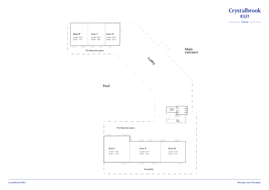

 $\sqrt{ }$ 

 $\perp$ 

#### **Crystalbrook RILEY**

 $-$  Cairns

 $\mathcal{L}$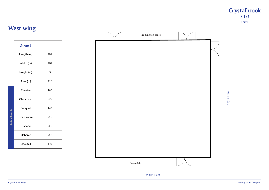

## **Crystalbrook RILEY**  $-$  Cairns  $\sim 10^{-1}$ Length 11.8m Length 11.8m

| Pre-function space |  |
|--------------------|--|
|                    |  |
|                    |  |
|                    |  |
|                    |  |
|                    |  |
|                    |  |
|                    |  |
|                    |  |
|                    |  |
|                    |  |
| Verandah           |  |

|                         | <b>Zone I</b>  |      |
|-------------------------|----------------|------|
|                         | Length (m)     | 11.8 |
|                         | Width (m)      | 11.6 |
|                         | Height (m)     | 3    |
|                         | Area (m)       | 137  |
| <b>Seating Capacity</b> | <b>Theatre</b> | 140  |
|                         | Classroom      | 50   |
|                         | <b>Banquet</b> | 120  |
|                         | Boardroom      | 30   |
|                         | U-shape        | 40   |
|                         | Cabaret        | 80   |
|                         | Cocktail       | 150  |

Width 11.6m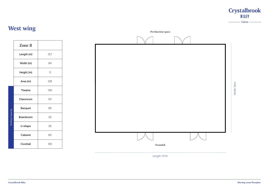









#### **Crystalbrook RILEY**

- Cairns -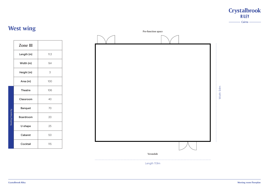## **West wing**

| <b>Zone III</b>                      |      |
|--------------------------------------|------|
| Length (m)                           | 11.3 |
| Width (m)                            | 9.4  |
| Height (m)                           | 3    |
| Area (m)                             | 100  |
| <b>Theatre</b>                       | 106  |
| Classroom                            | 40   |
| <b>Banquet</b>                       | 70   |
| <b>Seating Capacity</b><br>Boardroom | 20   |
| U-shape                              | 25   |
| Cabaret                              | 50   |
| Cocktail                             | 115  |

Length 11.9m

### **Crystalbrook RILEY**

 $-$  Cairns  $-$ 

 $\sim$ 



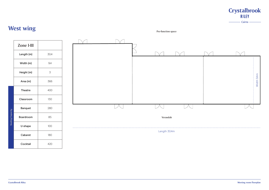**Crystalbrook Riley Meeting room floorplan**





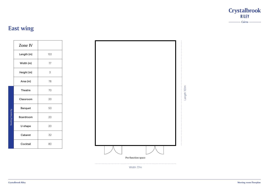|                         | <b>Zone IV</b> |      |
|-------------------------|----------------|------|
|                         | Length (m)     | 10.1 |
|                         | Width (m)      | 7.7  |
|                         | Height (m)     | 3    |
|                         | Area (m)       | 78   |
| <b>Seating Capacity</b> | <b>Theatre</b> | 70   |
|                         | Classroom      | 20   |
|                         | <b>Banquet</b> | 50   |
|                         | Boardroom      | 20   |
|                         | U-shape        | 20   |
|                         | Cabaret        | 32   |
|                         | Cocktail       | 80   |

Width 7.7m

### **Crystalbrook RILEY**

 $-$  Cairns  $-$ 

 $\overline{\phantom{a}}$ 

Length 10.1m

Length 10.1m

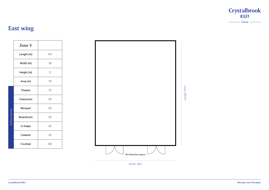|                         | <b>Zone V</b>  |      |
|-------------------------|----------------|------|
|                         | Length (m)     | 10.1 |
|                         | Width (m)      | 7.8  |
|                         | Height (m)     | 3    |
|                         | Area (m)       | 79   |
| <b>Seating Capacity</b> | <b>Theatre</b> | 70   |
|                         | Classroom      | 20   |
|                         | <b>Banquet</b> | 50   |
|                         | Boardroom      | 20   |
|                         | U-shape        | 20   |
|                         | Cabaret        | 32   |
|                         | Cocktail       | 80   |

Width 7.8m

### **Crystalbrook RILEY**

 $-$  Cairns

Length 10.1m

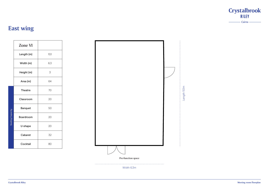|                         | <b>Zone VI</b> |      |
|-------------------------|----------------|------|
|                         | Length (m)     | 10.1 |
|                         | Width (m)      | 6.3  |
|                         | Height (m)     | 3    |
|                         | Area (m)       | 64   |
| <b>Seating Capacity</b> | <b>Theatre</b> | 70   |
|                         | Classroom      | 20   |
|                         | <b>Banquet</b> | 50   |
|                         | Boardroom      | 20   |
|                         | U-shape        | 20   |
|                         | Cabaret        | 32   |
|                         | Cocktail       | 80   |



### **Crystalbrook RILEY**

 $-$  Cairns  $-$ 

 $\sim$